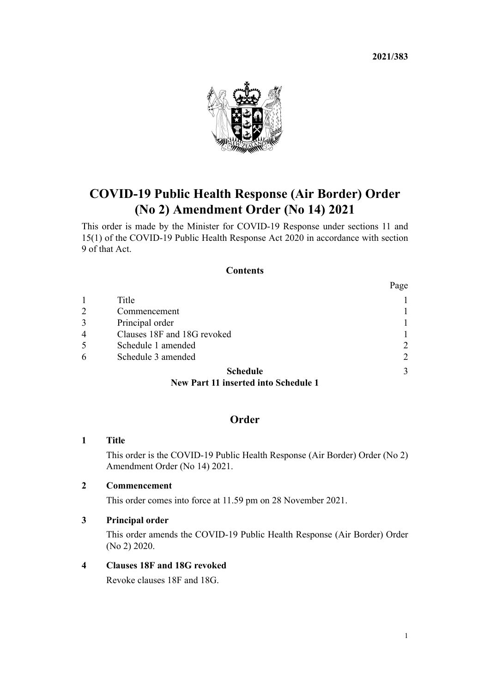**2021/383**



# **COVID-19 Public Health Response (Air Border) Order (No 2) Amendment Order (No 14) 2021**

This order is made by the Minister for COVID-19 Response under [sections 11](http://legislation.govt.nz/pdflink.aspx?id=LMS344177) and [15\(1\)](http://legislation.govt.nz/pdflink.aspx?id=LMS344183) of the [COVID-19 Public Health Response Act 2020](http://legislation.govt.nz/pdflink.aspx?id=LMS344121) in accordance with [section](http://legislation.govt.nz/pdflink.aspx?id=LMS344175) [9](http://legislation.govt.nz/pdflink.aspx?id=LMS344175) of that Act.

#### **Contents**

|                |                             | Page           |
|----------------|-----------------------------|----------------|
|                | Title                       |                |
| 2              | Commencement                |                |
| 3              | Principal order             |                |
| $\overline{4}$ | Clauses 18F and 18G revoked |                |
| 5              | Schedule 1 amended          | $\overline{2}$ |
| 6              | Schedule 3 amended          | $\overline{2}$ |
|                | <b>Schedule</b>             |                |

# **[New Part 11 inserted into Schedule 1](#page-2-0)**

# **Order**

## **1 Title**

This order is the COVID-19 Public Health Response (Air Border) Order (No 2) Amendment Order (No 14) 2021.

### **2 Commencement**

This order comes into force at 11.59 pm on 28 November 2021.

### **3 Principal order**

This order amends the [COVID-19 Public Health Response \(Air Border\) Order](http://legislation.govt.nz/pdflink.aspx?id=LMS403345) [\(No 2\) 2020](http://legislation.govt.nz/pdflink.aspx?id=LMS403345).

### **4 Clauses 18F and 18G revoked**

Revoke [clauses 18F](http://legislation.govt.nz/pdflink.aspx?id=LMS535105) and [18G](http://legislation.govt.nz/pdflink.aspx?id=LMS535121).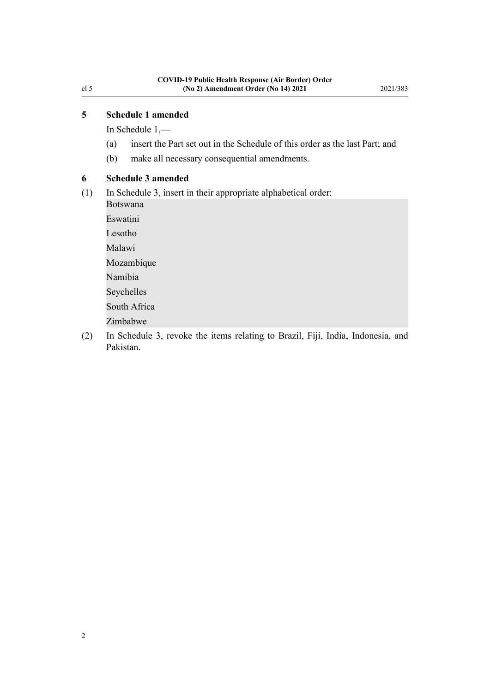<span id="page-1-0"></span>In [Schedule 1](http://legislation.govt.nz/pdflink.aspx?id=LMS403399),—

- (a) insert the Part set out in the [Schedule](#page-2-0) of this order as the last Part; and
- (b) make all necessary consequential amendments.

### **6 Schedule 3 amended**

(1) In [Schedule 3](http://legislation.govt.nz/pdflink.aspx?id=LMS487644), insert in their appropriate alphabetical order:

Botswana Eswatini Lesotho

Malawi

Mozambique

Namibia

Seychelles

South Africa

Zimbabwe

(2) In [Schedule 3](http://legislation.govt.nz/pdflink.aspx?id=LMS487644), revoke the items relating to Brazil, Fiji, India, Indonesia, and Pakistan.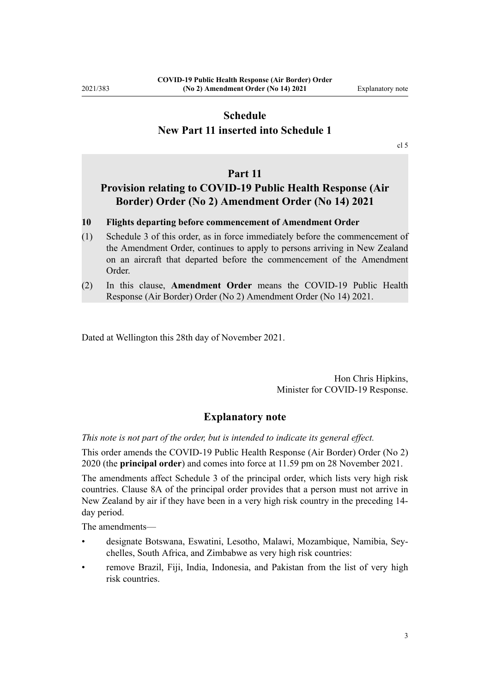# <span id="page-2-0"></span>**Schedule New Part 11 inserted into Schedule 1**

[cl 5](#page-1-0)

#### **Part 11**

# **Provision relating to COVID-19 Public Health Response (Air Border) Order (No 2) Amendment Order (No 14) 2021**

#### **10 Flights departing before commencement of Amendment Order**

- (1) Schedule 3 of this order, as in force immediately before the commencement of the Amendment Order, continues to apply to persons arriving in New Zealand on an aircraft that departed before the commencement of the Amendment Order.
- (2) In this clause, **Amendment Order** means the COVID-19 Public Health Response (Air Border) Order (No 2) Amendment Order (No 14) 2021.

Dated at Wellington this 28th day of November 2021.

Hon Chris Hipkins, Minister for COVID-19 Response.

#### **Explanatory note**

*This note is not part of the order, but is intended to indicate its general effect.*

This order amends the [COVID-19 Public Health Response \(Air Border\) Order \(No 2\)](http://legislation.govt.nz/pdflink.aspx?id=LMS403345) [2020](http://legislation.govt.nz/pdflink.aspx?id=LMS403345) (the **principal order**) and comes into force at 11.59 pm on 28 November 2021.

The amendments affect [Schedule 3](http://legislation.govt.nz/pdflink.aspx?id=LMS487644) of the principal order, which lists very high risk countries. [Clause 8A](http://legislation.govt.nz/pdflink.aspx?id=LMS481617) of the principal order provides that a person must not arrive in New Zealand by air if they have been in a very high risk country in the preceding 14 day period.

The amendments—

- designate Botswana, Eswatini, Lesotho, Malawi, Mozambique, Namibia, Sey‐ chelles, South Africa, and Zimbabwe as very high risk countries:
- remove Brazil, Fiji, India, Indonesia, and Pakistan from the list of very high risk countries.